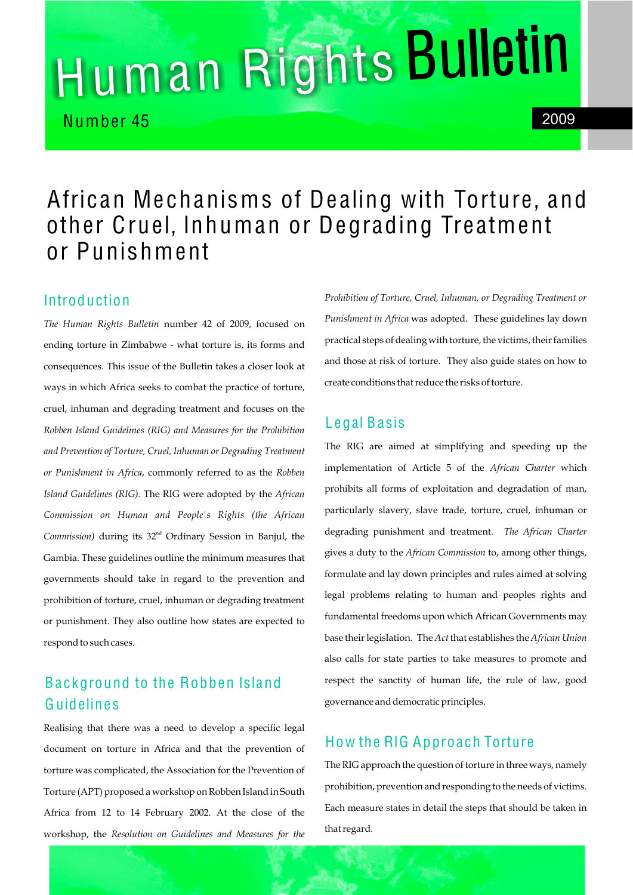# Human Rights Bulleti<sup>n</sup>

Number 45 2009

# African Mechanisms of Dealing with Torture, and other Cruel, Inhuman or Degrading Treatment or Punishment

# **Introduction**

*The Human Rights Bulletin* number 42 of 2009, focused on ending torture in Zimbabwe - what torture is, its forms and consequences. This issue of the Bulletin takes a closer look at ways in which Africa seeks to combat the practice of torture, cruel, inhuman and degrading treatment and focuses on the *Robben Island Guidelines (RIG) and Measures for the Prohibition and Prevention of Torture, Cruel, Inhuman or Degrading Treatment or Punishment in Africa*, commonly referred to as the *Robben Island Guidelines (RIG).* The RIG were adopted by the *African Commission on Human and People's Rights (the African* Commission) during its 32<sup>nd</sup> Ordinary Session in Banjul, the Gambia. These guidelines outline the minimum measures that governments should take in regard to the prevention and prohibition of torture, cruel, inhuman or degrading treatment or punishment. They also outline how states are expected to respond to such cases.

# Background to the Robben Island **Guidelines**

Realising that there was a need to develop a specific legal document on torture in Africa and that the prevention of torture was complicated, the Association for the Prevention of Torture (APT) proposed a workshop on Robben Island in South Africa from 12 to 14 February 2002. At the close of the workshop, the *Resolution on Guidelines and Measures for the*  *Prohibition of Torture, Cruel, Inhuman, or Degrading Treatment or Punishment in Africa* was adopted. These guidelines lay down practical steps of dealing with torture, the victims, their families and those at risk of torture. They also guide states on how to create conditions that reduce the risks of torture.

## Legal Basis

The RIG are aimed at simplifying and speeding up the implementation of Article 5 of the *African Charter* which prohibits all forms of exploitation and degradation of man, particularly slavery, slave trade, torture, cruel, inhuman or degrading punishment and treatment. *The African Charter* gives a duty to the *African Commission* to, among other things, formulate and lay down principles and rules aimed at solving legal problems relating to human and peoples rights and fundamental freedoms upon which African Governments may base their legislation. The *Act* that establishes the *African Union* also calls for state parties to take measures to promote and respect the sanctity of human life, the rule of law, good governance and democratic principles.

# How the RIG Approach Torture

The RIG approach the question of torture in three ways, namely prohibition, prevention and responding to the needs of victims. Each measure states in detail the steps that should be taken in that regard.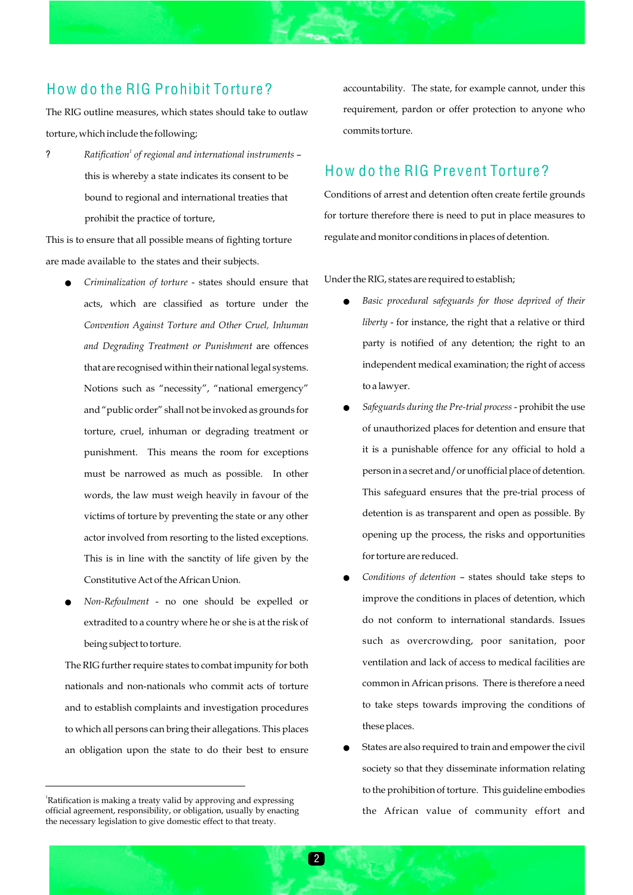# How do the RIG Prohibit Torture?

The RIG outline measures, which states should take to outlaw torture, which include the following;

*<sup>1</sup>* ? *Ratification of regional and international instruments* – this is whereby a state indicates its consent to be bound to regional and international treaties that prohibit the practice of torture,

This is to ensure that all possible means of fighting torture are made available to the states and their subjects.

- !*Criminalization of torture*  states should ensure that acts, which are classified as torture under the *Convention Against Torture and Other Cruel, Inhuman and Degrading Treatment or Punishment* are offences that are recognised within their national legal systems. Notions such as "necessity", "national emergency" and "public order" shall not be invoked as grounds for torture, cruel, inhuman or degrading treatment or punishment. This means the room for exceptions must be narrowed as much as possible. In other words, the law must weigh heavily in favour of the victims of torture by preventing the state or any other actor involved from resorting to the listed exceptions. This is in line with the sanctity of life given by the Constitutive Act of the African Union.
- !*Non-Refoulment* no one should be expelled or extradited to a country where he or she is at the risk of being subject to torture.

The RIG further require states to combat impunity for both nationals and non-nationals who commit acts of torture and to establish complaints and investigation procedures to which all persons can bring their allegations. This places an obligation upon the state to do their best to ensure accountability. The state, for example cannot, under this requirement, pardon or offer protection to anyone who commits torture.

### How do the RIG Prevent Torture?

Conditions of arrest and detention often create fertile grounds for torture therefore there is need to put in place measures to regulate and monitor conditions in places of detention.

Under the RIG, states are required to establish;

- ! *Basic procedural safeguards for those deprived of their liberty* - for instance, the right that a relative or third party is notified of any detention; the right to an independent medical examination; the right of access to a lawyer.
- !*Safeguards during the Pre-trial process* prohibit the use of unauthorized places for detention and ensure that it is a punishable offence for any official to hold a person in a secret and/or unofficial place of detention. This safeguard ensures that the pre-trial process of detention is as transparent and open as possible. By opening up the process, the risks and opportunities for torture are reduced.
- !*Conditions of detention* states should take steps to improve the conditions in places of detention, which do not conform to international standards. Issues such as overcrowding, poor sanitation, poor ventilation and lack of access to medical facilities are common in African prisons. There is therefore a need to take steps towards improving the conditions of these places.
- States are also required to train and empower the civil society so that they disseminate information relating to the prohibition of torture. This guideline embodies the African value of community effort and

<sup>&</sup>lt;sup>1</sup>Ratification is making a treaty valid by approving and expressing official agreement, responsibility, or obligation, usually by enacting the necessary legislation to give domestic effect to that treaty.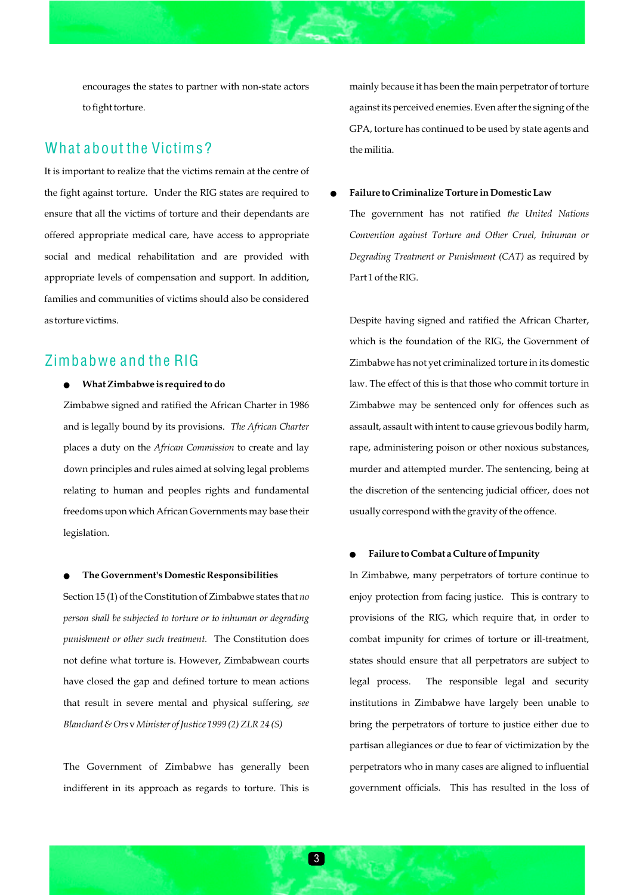encourages the states to partner with non-state actors to fight torture.

### What about the Victims?

It is important to realize that the victims remain at the centre of the fight against torture. Under the RIG states are required to ensure that all the victims of torture and their dependants are offered appropriate medical care, have access to appropriate social and medical rehabilitation and are provided with appropriate levels of compensation and support. In addition, families and communities of victims should also be considered as torture victims.

#### Zimbabwe and the RIG

#### ! **What Zimbabwe is required to do**

Zimbabwe signed and ratified the African Charter in 1986 and is legally bound by its provisions. *The African Charter* places a duty on the *African Commission* to create and lay down principles and rules aimed at solving legal problems relating to human and peoples rights and fundamental freedoms upon which African Governments may base their legislation.

#### !**The Government's Domestic Responsibilities**

Section 15 (1) of the Constitution of Zimbabwe states that *no person shall be subjected to torture or to inhuman or degrading punishment or other such treatment.* The Constitution does not define what torture is. However, Zimbabwean courts have closed the gap and defined torture to mean actions that result in severe mental and physical suffering, *see Blanchard & Ors* v *Minister of Justice 1999 (2) ZLR 24 (S)*

The Government of Zimbabwe has generally been indifferent in its approach as regards to torture. This is

mainly because it has been the main perpetrator of torture against its perceived enemies. Even after the signing of the GPA, torture has continued to be used by state agents and the militia.

#### ! **Failure to Criminalize Torture in Domestic Law**

The government has not ratified *the United Nations Convention against Torture and Other Cruel, Inhuman or Degrading Treatment or Punishment (CAT)* as required by Part 1 of the RIG.

Despite having signed and ratified the African Charter, which is the foundation of the RIG, the Government of Zimbabwe has not yet criminalized torture in its domestic law. The effect of this is that those who commit torture in Zimbabwe may be sentenced only for offences such as assault, assault with intent to cause grievous bodily harm, rape, administering poison or other noxious substances, murder and attempted murder. The sentencing, being at the discretion of the sentencing judicial officer, does not usually correspond with the gravity of the offence.

#### !**Failure to Combat a Culture of Impunity**

In Zimbabwe, many perpetrators of torture continue to enjoy protection from facing justice. This is contrary to provisions of the RIG, which require that, in order to combat impunity for crimes of torture or ill-treatment, states should ensure that all perpetrators are subject to legal process. The responsible legal and security institutions in Zimbabwe have largely been unable to bring the perpetrators of torture to justice either due to partisan allegiances or due to fear of victimization by the perpetrators who in many cases are aligned to influential government officials. This has resulted in the loss of